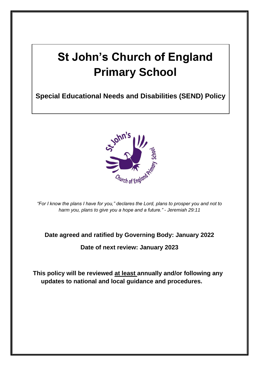# **St John's Church of England Primary School**

**Special Educational Needs and Disabilities (SEND) Policy**



*"For I know the plans I have for you," declares the Lord, plans to prosper you and not to harm you, plans to give you a hope and a future." - Jeremiah 29:11*

#### **Date agreed and ratified by Governing Body: January 2022**

#### **Date of next review: January 2023**

**This policy will be reviewed at least annually and/or following any updates to national and local guidance and procedures.**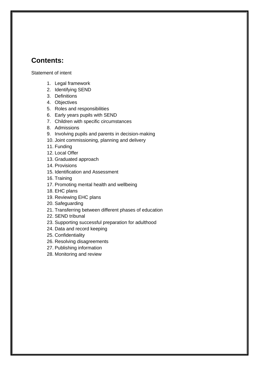#### **Contents:**

[Statement of intent](#page-2-0)

- 1. [Legal framework](#page-3-0)
- 2. [Identifying SEND](#page-3-1)
- 3. [Definitions](#page-4-0)
- 4. [Objectives](#page-6-0)
- 5. [Roles and responsibilities](#page-6-1)
- 6. [Early years pupils with SEND](#page-10-0)
- 7. [Children with specific circumstances](#page-10-1)
- 8. [Admissions](#page-10-2)
- 9. [Involving pupils and parents in decision-making](#page-11-0)
- 10. [Joint commissioning, planning and delivery](#page-12-0)
- 11. [Funding](#page-13-0)
- 12. [Local Offer](#page-13-1)
- 13. [Graduated approach](#page-13-2)
- 14. Provisions
- 15. Identification and [Assessment](#page-14-0)
- 16. [Training](#page-15-0)
- 17. [Promoting mental health and wellbeing](#page-15-1)
- 18. [EHC plans](#page-16-0)
- 19. [Reviewing EHC plans](#page-17-0)
- 20. [Safeguarding](#page-18-0)
- 21. [Transferring between different phases of education](#page-18-1)
- 22. [SEND tribunal](#page-19-0)
- 23. [Supporting successful preparation for adulthood](#page-19-1)
- 24. Data and record keeping
- 25. [Confidentiality](#page-20-0)
- 26. [Resolving disagreements](#page-21-0)
- 27. [Publishing information](#page-21-1)
- 28. [Monitoring and review](#page-21-2)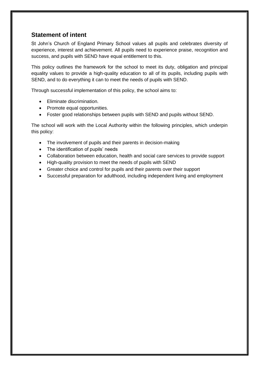#### <span id="page-2-0"></span>**Statement of intent**

St John's Church of England Primary School values all pupils and celebrates diversity of experience, interest and achievement. All pupils need to experience praise, recognition and success, and pupils with SEND have equal entitlement to this.

This policy outlines the framework for the school to meet its duty, obligation and principal equality values to provide a high-quality education to all of its pupils, including pupils with SEND, and to do everything it can to meet the needs of pupils with SEND.

Through successful implementation of this policy, the school aims to:

- Eliminate discrimination.
- Promote equal opportunities.
- Foster good relationships between pupils with SEND and pupils without SEND.

The school will work with the Local Authority within the following principles, which underpin this policy:

- The involvement of pupils and their parents in decision-making
- The identification of pupils' needs
- Collaboration between education, health and social care services to provide support
- High-quality provision to meet the needs of pupils with SEND
- Greater choice and control for pupils and their parents over their support
- Successful preparation for adulthood, including independent living and employment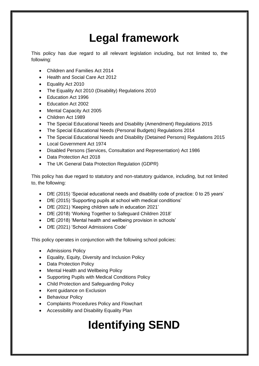# **Legal framework**

<span id="page-3-0"></span>This policy has due regard to all relevant legislation including, but not limited to, the following:

- Children and Families Act 2014
- Health and Social Care Act 2012
- Equality Act 2010
- The Equality Act 2010 (Disability) Regulations 2010
- Education Act 1996
- Education Act 2002
- Mental Capacity Act 2005
- Children Act 1989
- The Special Educational Needs and Disability (Amendment) Regulations 2015
- The Special Educational Needs (Personal Budgets) Regulations 2014
- The Special Educational Needs and Disability (Detained Persons) Regulations 2015
- Local Government Act 1974
- Disabled Persons (Services, Consultation and Representation) Act 1986
- Data Protection Act 2018
- The UK General Data Protection Regulation (GDPR)

This policy has due regard to statutory and non-statutory guidance, including, but not limited to, the following:

- DfE (2015) 'Special educational needs and disability code of practice: 0 to 25 years'
- DfE (2015) 'Supporting pupils at school with medical conditions'
- DfE (2021) 'Keeping children safe in education 2021'
- DfE (2018) 'Working Together to Safeguard Children 2018'
- DfE (2018) 'Mental health and wellbeing provision in schools'
- DfE (2021) 'School Admissions Code'

This policy operates in conjunction with the following school policies:

- Admissions Policy
- Equality, Equity, Diversity and Inclusion Policy
- Data Protection Policy
- Mental Health and Wellbeing Policy
- Supporting Pupils with Medical Conditions Policy
- Child Protection and Safeguarding Policy
- Kent guidance on Exclusion
- Behaviour Policy
- Complaints Procedures Policy and Flowchart
- <span id="page-3-1"></span>• Accessibility and Disability Equality Plan

# **Identifying SEND**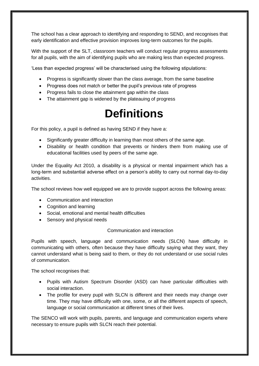The school has a clear approach to identifying and responding to SEND, and recognises that early identification and effective provision improves long-term outcomes for the pupils.

With the support of the SLT, classroom teachers will conduct regular progress assessments for all pupils, with the aim of identifying pupils who are making less than expected progress.

'Less than expected progress' will be characterised using the following stipulations:

- Progress is significantly slower than the class average, from the same baseline
- Progress does not match or better the pupil's previous rate of progress
- Progress fails to close the attainment gap within the class
- <span id="page-4-0"></span>• The attainment gap is widened by the plateauing of progress

## **Definitions**

For this policy, a pupil is defined as having SEND if they have a:

- Significantly greater difficulty in learning than most others of the same age.
- Disability or health condition that prevents or hinders them from making use of educational facilities used by peers of the same age.

Under the Equality Act 2010, a disability is a physical or mental impairment which has a long-term and substantial adverse effect on a person's ability to carry out normal day-to-day activities.

The school reviews how well equipped we are to provide support across the following areas:

- Communication and interaction
- Cognition and learning
- Social, emotional and mental health difficulties
- Sensory and physical needs

#### Communication and interaction

Pupils with speech, language and communication needs (SLCN) have difficulty in communicating with others, often because they have difficulty saying what they want, they cannot understand what is being said to them, or they do not understand or use social rules of communication.

The school recognises that:

- Pupils with Autism Spectrum Disorder (ASD) can have particular difficulties with social interaction.
- The profile for every pupil with SLCN is different and their needs may change over time. They may have difficulty with one, some, or all the different aspects of speech, language or social communication at different times of their lives.

The SENCO will work with pupils, parents, and language and communication experts where necessary to ensure pupils with SLCN reach their potential.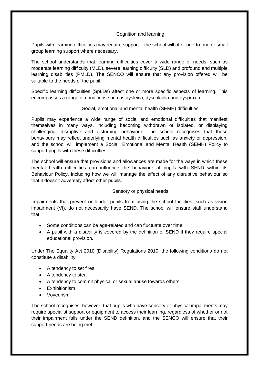#### Cognition and learning

Pupils with learning difficulties may require support – the school will offer one-to-one or small group learning support where necessary.

The school understands that learning difficulties cover a wide range of needs, such as moderate learning difficulty (MLD), severe learning difficulty (SLD) and profound and multiple learning disabilities (PMLD). The SENCO will ensure that any provision offered will be suitable to the needs of the pupil.

Specific learning difficulties (SpLDs) affect one or more specific aspects of learning. This encompasses a range of conditions such as dyslexia, dyscalculia and dyspraxia.

#### Social, emotional and mental health (SEMH) difficulties

Pupils may experience a wide range of social and emotional difficulties that manifest themselves in many ways, including becoming withdrawn or isolated, or displaying challenging, disruptive and disturbing behaviour. The school recognises that these behaviours may reflect underlying mental health difficulties such as anxiety or depression, and the school will implement a Social, Emotional and Mental Health (SEMH) Policy to support pupils with these difficulties.

The school will ensure that provisions and allowances are made for the ways in which these mental health difficulties can influence the behaviour of pupils with SEND within its Behaviour Policy, including how we will manage the effect of any disruptive behaviour so that it doesn't adversely affect other pupils.

#### Sensory or physical needs

Impairments that prevent or hinder pupils from using the school facilities, such as vision impairment (VI), do not necessarily have SEND. The school will ensure staff understand that:

- Some conditions can be age-related and can fluctuate over time.
- A pupil with a disability is covered by the definition of SEND if they require special educational provision.

Under The Equality Act 2010 (Disability) Regulations 2010, the following conditions do not constitute a disability:

- A tendency to set fires
- A tendency to steal
- A tendency to commit physical or sexual abuse towards others
- Exhibitionism
- Voyeurism

The school recognises, however, that pupils who have sensory or physical impairments may require specialist support or equipment to access their learning, regardless of whether or not their impairment falls under the SEND definition, and the SENCO will ensure that their support needs are being met.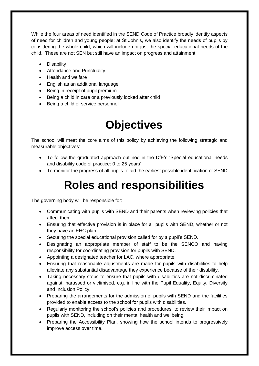While the four areas of need identified in the SEND Code of Practice broadly identify aspects of need for children and young people; at St John's, we also identify the needs of pupils by considering the whole child, which will include not just the special educational needs of the child. These are not SEN but still have an impact on progress and attainment:

- Disability
- Attendance and Punctuality
- Health and welfare
- English as an additional language
- Being in receipt of pupil premium
- Being a child in care or a previously looked after child
- Being a child of service personnel

## **Objectives**

<span id="page-6-0"></span>The school will meet the core aims of this policy by achieving the following strategic and measurable objectives:

- To follow the graduated approach outlined in the DfE's 'Special educational needs and disability code of practice: 0 to 25 years'
- <span id="page-6-1"></span>• To monitor the progress of all pupils to aid the earliest possible identification of SEND

#### **Roles and responsibilities**

The governing body will be responsible for:

- Communicating with pupils with SEND and their parents when reviewing policies that affect them.
- Ensuring that effective provision is in place for all pupils with SEND, whether or not they have an EHC plan.
- Securing the special educational provision called for by a pupil's SEND.
- Designating an appropriate member of staff to be the SENCO and having responsibility for coordinating provision for pupils with SEND.
- Appointing a designated teacher for LAC, where appropriate.
- Ensuring that reasonable adjustments are made for pupils with disabilities to help alleviate any substantial disadvantage they experience because of their disability.
- Taking necessary steps to ensure that pupils with disabilities are not discriminated against, harassed or victimised, e.g. in line with the Pupil Equality, Equity, Diversity and Inclusion Policy.
- Preparing the arrangements for the admission of pupils with SEND and the facilities provided to enable access to the school for pupils with disabilities.
- Regularly monitoring the school's policies and procedures, to review their impact on pupils with SEND, including on their mental health and wellbeing.
- Preparing the Accessibility Plan, showing how the school intends to progressively improve access over time.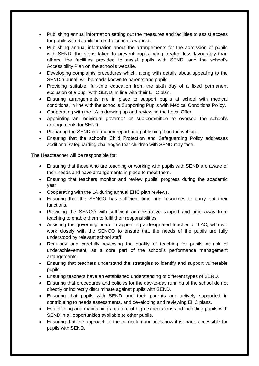- Publishing annual information setting out the measures and facilities to assist access for pupils with disabilities on the school's website.
- Publishing annual information about the arrangements for the admission of pupils with SEND, the steps taken to prevent pupils being treated less favourably than others, the facilities provided to assist pupils with SEND, and the school's Accessibility Plan on the school's website.
- Developing complaints procedures which, along with details about appealing to the SEND tribunal, will be made known to parents and pupils.
- Providing suitable, full-time education from the sixth day of a fixed permanent exclusion of a pupil with SEND, in line with their EHC plan.
- Ensuring arrangements are in place to support pupils at school with medical conditions, in line with the school's Supporting Pupils with Medical Conditions Policy.
- Cooperating with the LA in drawing up and reviewing the Local Offer.
- Appointing an individual governor or sub-committee to oversee the school's arrangements for SEND.
- Preparing the SEND information report and publishing it on the website.
- Ensuring that the school's Child Protection and Safeguarding Policy addresses additional safeguarding challenges that children with SEND may face.

The Headteacher will be responsible for:

- Ensuring that those who are teaching or working with pupils with SEND are aware of their needs and have arrangements in place to meet them.
- Ensuring that teachers monitor and review pupils' progress during the academic year.
- Cooperating with the LA during annual EHC plan reviews.
- Ensuring that the SENCO has sufficient time and resources to carry out their functions.
- Providing the SENCO with sufficient administrative support and time away from teaching to enable them to fulfil their responsibilities.
- Assisting the governing board in appointing a designated teacher for LAC, who will work closely with the SENCO to ensure that the needs of the pupils are fully understood by relevant school staff.
- Regularly and carefully reviewing the quality of teaching for pupils at risk of underachievement, as a core part of the school's performance management arrangements.
- Ensuring that teachers understand the strategies to identify and support vulnerable pupils.
- Ensuring teachers have an established understanding of different types of SEND.
- Ensuring that procedures and policies for the day-to-day running of the school do not directly or indirectly discriminate against pupils with SEND.
- Ensuring that pupils with SEND and their parents are actively supported in contributing to needs assessments, and developing and reviewing EHC plans.
- Establishing and maintaining a culture of high expectations and including pupils with SEND in all opportunities available to other pupils.
- Ensuring that the approach to the curriculum includes how it is made accessible for pupils with SEND.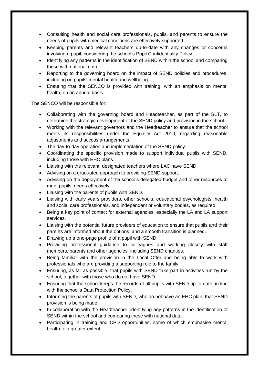- Consulting health and social care professionals, pupils, and parents to ensure the needs of pupils with medical conditions are effectively supported.
- Keeping parents and relevant teachers up-to-date with any changes or concerns involving a pupil, considering the school's Pupil Confidentiality Policy.
- Identifying any patterns in the identification of SEND within the school and comparing these with national data.
- Reporting to the governing board on the impact of SEND policies and procedures, including on pupils' mental health and wellbeing.
- Ensuring that the SENCO is provided with training, with an emphasis on mental health, on an annual basis.

The SENCO will be responsible for:

- Collaborating with the governing board and Headteacher, as part of the SLT, to determine the strategic development of the SEND policy and provision in the school.
- Working with the relevant governors and the Headteacher to ensure that the school meets its responsibilities under the Equality Act 2010, regarding reasonable adjustments and access arrangements.
- The day-to-day operation and implementation of the SEND policy.
- Coordinating the specific provision made to support individual pupils with SEND, including those with EHC plans.
- Liaising with the relevant, designated teachers where LAC have SEND.
- Advising on a graduated approach to providing SEND support.
- Advising on the deployment of the school's delegated budget and other resources to meet pupils' needs effectively.
- Liaising with the parents of pupils with SEND.
- Liaising with early years providers, other schools, educational psychologists, health and social care professionals, and independent or voluntary bodies, as required.
- Being a key point of contact for external agencies, especially the LA and LA support services.
- Liaising with the potential future providers of education to ensure that pupils and their parents are informed about the options, and a smooth transition is planned.
- Drawing up a one-page profile of a pupil with SEND.
- Providing professional guidance to colleagues and working closely with staff members, parents and other agencies, including SEND charities.
- Being familiar with the provision in the Local Offer and being able to work with professionals who are providing a supporting role to the family.
- Ensuring, as far as possible, that pupils with SEND take part in activities run by the school, together with those who do not have SEND.
- Ensuring that the school keeps the records of all pupils with SEND up-to-date, in line with the school's Data Protection Policy.
- Informing the parents of pupils with SEND, who do not have an EHC plan, that SEND provision is being made.
- In collaboration with the Headteacher, identifying any patterns in the identification of SEND within the school and comparing these with national data.
- Participating in training and CPD opportunities, some of which emphasise mental health to a greater extent.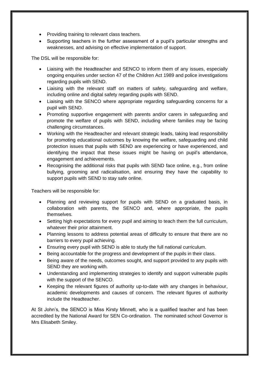- Providing training to relevant class teachers.
- Supporting teachers in the further assessment of a pupil's particular strengths and weaknesses, and advising on effective implementation of support.

The DSL will be responsible for:

- Liaising with the Headteacher and SENCO to inform them of any issues, especially ongoing enquiries under section 47 of the Children Act 1989 and police investigations regarding pupils with SEND.
- Liaising with the relevant staff on matters of safety, safeguarding and welfare, including online and digital safety regarding pupils with SEND.
- Liaising with the SENCO where appropriate regarding safeguarding concerns for a pupil with SEND.
- Promoting supportive engagement with parents and/or carers in safeguarding and promote the welfare of pupils with SEND, including where families may be facing challenging circumstances.
- Working with the Headteacher and relevant strategic leads, taking lead responsibility for promoting educational outcomes by knowing the welfare, safeguarding and child protection issues that pupils with SEND are experiencing or have experienced, and identifying the impact that these issues might be having on pupil's attendance, engagement and achievements.
- Recognising the additional risks that pupils with SEND face online, e.g., from online bullying, grooming and radicalisation, and ensuring they have the capability to support pupils with SEND to stay safe online.

Teachers will be responsible for:

- Planning and reviewing support for pupils with SEND on a graduated basis, in collaboration with parents, the SENCO and, where appropriate, the pupils themselves.
- Setting high expectations for every pupil and aiming to teach them the full curriculum, whatever their prior attainment.
- Planning lessons to address potential areas of difficulty to ensure that there are no barriers to every pupil achieving.
- Ensuring every pupil with SEND is able to study the full national curriculum.
- Being accountable for the progress and development of the pupils in their class.
- Being aware of the needs, outcomes sought, and support provided to any pupils with SEND they are working with.
- Understanding and implementing strategies to identify and support vulnerable pupils with the support of the SENCO.
- Keeping the relevant figures of authority up-to-date with any changes in behaviour, academic developments and causes of concern. The relevant figures of authority include the Headteacher.

At St John's, the SENCO is Miss Kirsty Minnett, who is a qualified teacher and has been accredited by the National Award for SEN Co-ordination. The nominated school Governor is Mrs Elisabeth Smiley.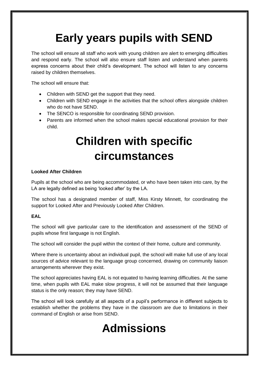# **Early years pupils with SEND**

<span id="page-10-0"></span>The school will ensure all staff who work with young children are alert to emerging difficulties and respond early. The school will also ensure staff listen and understand when parents express concerns about their child's development. The school will listen to any concerns raised by children themselves.

The school will ensure that:

- Children with SEND get the support that they need.
- Children with SEND engage in the activities that the school offers alongside children who do not have SEND.
- The SENCO is responsible for coordinating SEND provision.
- <span id="page-10-1"></span>• Parents are informed when the school makes special educational provision for their child.

# **Children with specific circumstances**

#### **Looked After Children**

Pupils at the school who are being accommodated, or who have been taken into care, by the LA are legally defined as being 'looked after' by the LA.

The school has a designated member of staff, Miss Kirsty Minnett, for coordinating the support for Looked After and Previously Looked After Children.

#### **EAL**

The school will give particular care to the identification and assessment of the SEND of pupils whose first language is not English.

The school will consider the pupil within the context of their home, culture and community.

Where there is uncertainty about an individual pupil, the school will make full use of any local sources of advice relevant to the language group concerned, drawing on community liaison arrangements wherever they exist.

The school appreciates having EAL is not equated to having learning difficulties. At the same time, when pupils with EAL make slow progress, it will not be assumed that their language status is the only reason; they may have SEND.

<span id="page-10-2"></span>The school will look carefully at all aspects of a pupil's performance in different subjects to establish whether the problems they have in the classroom are due to limitations in their command of English or arise from SEND.

# **Admissions**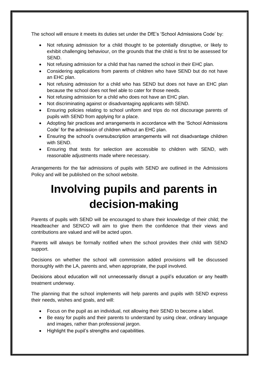The school will ensure it meets its duties set under the DfE's 'School Admissions Code' by:

- Not refusing admission for a child thought to be potentially disruptive, or likely to exhibit challenging behaviour, on the grounds that the child is first to be assessed for SEND.
- Not refusing admission for a child that has named the school in their EHC plan.
- Considering applications from parents of children who have SEND but do not have an EHC plan.
- Not refusing admission for a child who has SEND but does not have an EHC plan because the school does not feel able to cater for those needs.
- Not refusing admission for a child who does not have an EHC plan.
- Not discriminating against or disadvantaging applicants with SEND.
- Ensuring policies relating to school uniform and trips do not discourage parents of pupils with SEND from applying for a place.
- Adopting fair practices and arrangements in accordance with the 'School Admissions Code' for the admission of children without an EHC plan.
- Ensuring the school's oversubscription arrangements will not disadvantage children with SEND.
- Ensuring that tests for selection are accessible to children with SEND, with reasonable adjustments made where necessary.

<span id="page-11-0"></span>Arrangements for the fair admissions of pupils with SEND are outlined in the Admissions Policy and will be published on the school website.

# **Involving pupils and parents in decision-making**

Parents of pupils with SEND will be encouraged to share their knowledge of their child; the Headteacher and SENCO will aim to give them the confidence that their views and contributions are valued and will be acted upon.

Parents will always be formally notified when the school provides their child with SEND support.

Decisions on whether the school will commission added provisions will be discussed thoroughly with the LA, parents and, when appropriate, the pupil involved.

Decisions about education will not unnecessarily disrupt a pupil's education or any health treatment underway.

The planning that the school implements will help parents and pupils with SEND express their needs, wishes and goals, and will:

- Focus on the pupil as an individual, not allowing their SEND to become a label.
- Be easy for pupils and their parents to understand by using clear, ordinary language and images, rather than professional jargon.
- Highlight the pupil's strengths and capabilities.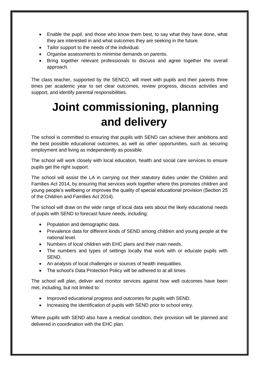- Enable the pupil, and those who know them best, to say what they have done, what they are interested in and what outcomes they are seeking in the future.
- Tailor support to the needs of the individual.
- Organise assessments to minimise demands on parents.
- Bring together relevant professionals to discuss and agree together the overall approach.

The class teacher, supported by the SENCO, will meet with pupils and their parents three times per academic year to set clear outcomes, review progress, discuss activities and support, and identify parental responsibilities.

# <span id="page-12-0"></span>**Joint commissioning, planning and delivery**

The school is committed to ensuring that pupils with SEND can achieve their ambitions and the best possible educational outcomes, as well as other opportunities, such as securing employment and living as independently as possible.

The school will work closely with local education, health and social care services to ensure pupils get the right support.

The school will assist the LA in carrying out their statutory duties under the Children and Families Act 2014, by ensuring that services work together where this promotes children and young people's wellbeing or improves the quality of special educational provision (Section 25 of the Children and Families Act 2014).

The school will draw on the wide range of local data sets about the likely educational needs of pupils with SEND to forecast future needs, including:

- Population and demographic data.
- Prevalence data for different kinds of SEND among children and young people at the national level.
- Numbers of local children with EHC plans and their main needs.
- The numbers and types of settings locally that work with or educate pupils with SEND.
- An analysis of local challenges or sources of health inequalities.
- The school's Data Protection Policy will be adhered to at all times.

The school will plan, deliver and monitor services against how well outcomes have been met, including, but not limited to:

- Improved educational progress and outcomes for pupils with SEND.
- Increasing the identification of pupils with SEND prior to school entry.

Where pupils with SEND also have a medical condition, their provision will be planned and delivered in coordination with the EHC plan.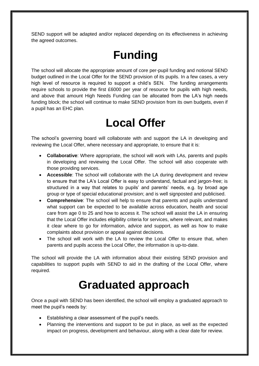<span id="page-13-0"></span>SEND support will be adapted and/or replaced depending on its effectiveness in achieving the agreed outcomes.

## **Funding**

The school will allocate the appropriate amount of core per-pupil funding and notional SEND budget outlined in the Local Offer for the SEND provision of its pupils. In a few cases, a very high level of resource is required to support a child's SEN. The funding arrangements require schools to provide the first £6000 per year of resource for pupils with high needs, and above that amount High Needs Funding can be allocated from the LA's high needs funding block; the school will continue to make SEND provision from its own budgets, even if a pupil has an EHC plan.

### **Local Offer**

<span id="page-13-1"></span>The school's governing board will collaborate with and support the LA in developing and reviewing the Local Offer, where necessary and appropriate, to ensure that it is:

- **Collaborative**: Where appropriate, the school will work with LAs, parents and pupils in developing and reviewing the Local Offer. The school will also cooperate with those providing services.
- **Accessible**: The school will collaborate with the LA during development and review to ensure that the LA's Local Offer is easy to understand, factual and jargon-free; is structured in a way that relates to pupils' and parents' needs, e.g. by broad age group or type of special educational provision; and is well signposted and publicised.
- **Comprehensive**: The school will help to ensure that parents and pupils understand what support can be expected to be available across education, health and social care from age 0 to 25 and how to access it. The school will assist the LA in ensuring that the Local Offer includes eligibility criteria for services, where relevant, and makes it clear where to go for information, advice and support, as well as how to make complaints about provision or appeal against decisions.
- The school will work with the LA to review the Local Offer to ensure that, when parents and pupils access the Local Offer, the information is up-to-date.

The school will provide the LA with information about their existing SEND provision and capabilities to support pupils with SEND to aid in the drafting of the Local Offer, where required.

#### **Graduated approach**

<span id="page-13-2"></span>Once a pupil with SEND has been identified, the school will employ a graduated approach to meet the pupil's needs by:

- Establishing a clear assessment of the pupil's needs.
- Planning the interventions and support to be put in place, as well as the expected impact on progress, development and behaviour, along with a clear date for review.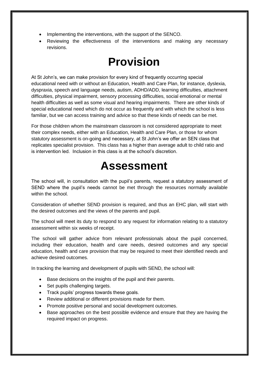- Implementing the interventions, with the support of the SENCO.
- Reviewing the effectiveness of the interventions and making any necessary revisions.

#### **Provision**

At St John's, we can make provision for every kind of frequently occurring special educational need with or without an Education, Health and Care Plan, for instance, dyslexia, dyspraxia, speech and language needs, autism, ADHD/ADD, learning difficulties, attachment difficulties, physical impairment, sensory processing difficulties, social emotional or mental health difficulties as well as some visual and hearing impairments. There are other kinds of special educational need which do not occur as frequently and with which the school is less familiar, but we can access training and advice so that these kinds of needs can be met.

For those children whom the mainstream classroom is not considered appropriate to meet their complex needs, either with an Education, Health and Care Plan, or those for whom statutory assessment is on-going and necessary, at St John's we offer an SEN class that replicates specialist provision. This class has a higher than average adult to child ratio and is intervention led. Inclusion in this class is at the school's discretion.

### **Assessment**

<span id="page-14-0"></span>The school will, in consultation with the pupil's parents, request a statutory assessment of SEND where the pupil's needs cannot be met through the resources normally available within the school.

Consideration of whether SEND provision is required, and thus an EHC plan, will start with the desired outcomes and the views of the parents and pupil.

The school will meet its duty to respond to any request for information relating to a statutory assessment within six weeks of receipt.

The school will gather advice from relevant professionals about the pupil concerned, including their education, health and care needs, desired outcomes and any special education, health and care provision that may be required to meet their identified needs and achieve desired outcomes.

In tracking the learning and development of pupils with SEND, the school will:

- Base decisions on the insights of the pupil and their parents.
- Set pupils challenging targets.
- Track pupils' progress towards these goals.
- Review additional or different provisions made for them.
- Promote positive personal and social development outcomes.
- Base approaches on the best possible evidence and ensure that they are having the required impact on progress.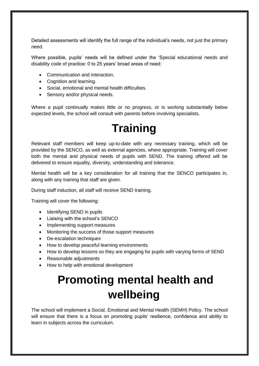Detailed assessments will identify the full range of the individual's needs, not just the primary need.

Where possible, pupils' needs will be defined under the 'Special educational needs and disability code of practice: 0 to 25 years' broad areas of need:

- Communication and interaction.
- Cognition and learning.
- Social, emotional and mental health difficulties.
- Sensory and/or physical needs.

<span id="page-15-0"></span>Where a pupil continually makes little or no progress, or is working substantially below expected levels, the school will consult with parents before involving specialists.

## **Training**

Relevant staff members will keep up-to-date with any necessary training, which will be provided by the SENCO, as well as external agencies, where appropriate. Training will cover both the mental and physical needs of pupils with SEND. The training offered will be delivered to ensure equality, diversity, understanding and tolerance.

Mental health will be a key consideration for all training that the SENCO participates in, along with any training that staff are given.

During staff induction, all staff will receive SEND training.

Training will cover the following:

- Identifying SEND in pupils
- Liaising with the school's SENCO
- Implementing support measures
- Monitoring the success of those support measures
- De-escalation techniques
- How to develop peaceful learning environments
- How to develop lessons so they are engaging for pupils with varying forms of SEND
- Reasonable adjustments
- <span id="page-15-1"></span>• How to help with emotional development

## **Promoting mental health and wellbeing**

The school will implement a Social, Emotional and Mental Health (SEMH) Policy. The school will ensure that there is a focus on promoting pupils' resilience, confidence and ability to learn in subjects across the curriculum.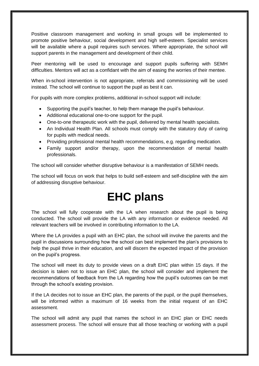Positive classroom management and working in small groups will be implemented to promote positive behaviour, social development and high self-esteem. Specialist services will be available where a pupil requires such services. Where appropriate, the school will support parents in the management and development of their child.

Peer mentoring will be used to encourage and support pupils suffering with SEMH difficulties. Mentors will act as a confidant with the aim of easing the worries of their mentee.

When in-school intervention is not appropriate, referrals and commissioning will be used instead. The school will continue to support the pupil as best it can.

For pupils with more complex problems, additional in-school support will include:

- Supporting the pupil's teacher, to help them manage the pupil's behaviour.
- Additional educational one-to-one support for the pupil.
- One-to-one therapeutic work with the pupil, delivered by mental health specialists.
- An Individual Health Plan. All schools must comply with the statutory duty of caring for pupils with medical needs.
- Providing professional mental health recommendations, e.g. regarding medication.
- Family support and/or therapy, upon the recommendation of mental health professionals.

The school will consider whether disruptive behaviour is a manifestation of SEMH needs.

<span id="page-16-0"></span>The school will focus on work that helps to build self-esteem and self-discipline with the aim of addressing disruptive behaviour.

### **EHC plans**

The school will fully cooperate with the LA when research about the pupil is being conducted. The school will provide the LA with any information or evidence needed. All relevant teachers will be involved in contributing information to the LA.

Where the LA provides a pupil with an EHC plan, the school will involve the parents and the pupil in discussions surrounding how the school can best implement the plan's provisions to help the pupil thrive in their education, and will discern the expected impact of the provision on the pupil's progress.

The school will meet its duty to provide views on a draft EHC plan within 15 days. If the decision is taken not to issue an EHC plan, the school will consider and implement the recommendations of feedback from the LA regarding how the pupil's outcomes can be met through the school's existing provision.

If the LA decides not to issue an EHC plan, the parents of the pupil, or the pupil themselves, will be informed within a maximum of 16 weeks from the initial request of an EHC assessment.

The school will admit any pupil that names the school in an EHC plan or EHC needs assessment process. The school will ensure that all those teaching or working with a pupil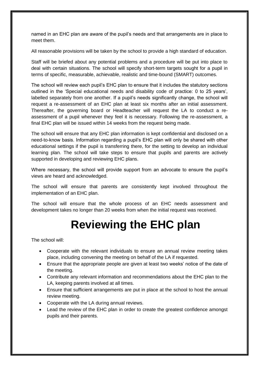named in an EHC plan are aware of the pupil's needs and that arrangements are in place to meet them.

All reasonable provisions will be taken by the school to provide a high standard of education.

Staff will be briefed about any potential problems and a procedure will be put into place to deal with certain situations. The school will specify short-term targets sought for a pupil in terms of specific, measurable, achievable, realistic and time-bound (SMART) outcomes.

The school will review each pupil's EHC plan to ensure that it includes the statutory sections outlined in the 'Special educational needs and disability code of practice: 0 to 25 years', labelled separately from one another. If a pupil's needs significantly change, the school will request a re-assessment of an EHC plan at least six months after an initial assessment. Thereafter, the governing board or Headteacher will request the LA to conduct a reassessment of a pupil whenever they feel it is necessary. Following the re-assessment, a final EHC plan will be issued within 14 weeks from the request being made.

The school will ensure that any EHC plan information is kept confidential and disclosed on a need-to-know basis. Information regarding a pupil's EHC plan will only be shared with other educational settings if the pupil is transferring there, for the setting to develop an individual learning plan. The school will take steps to ensure that pupils and parents are actively supported in developing and reviewing EHC plans.

Where necessary, the school will provide support from an advocate to ensure the pupil's views are heard and acknowledged.

The school will ensure that parents are consistently kept involved throughout the implementation of an EHC plan.

<span id="page-17-0"></span>The school will ensure that the whole process of an EHC needs assessment and development takes no longer than 20 weeks from when the initial request was received.

## **Reviewing the EHC plan**

The school will:

- Cooperate with the relevant individuals to ensure an annual review meeting takes place, including convening the meeting on behalf of the LA if requested.
- Ensure that the appropriate people are given at least two weeks' notice of the date of the meeting.
- Contribute any relevant information and recommendations about the EHC plan to the LA, keeping parents involved at all times.
- Ensure that sufficient arrangements are put in place at the school to host the annual review meeting.
- Cooperate with the LA during annual reviews.
- Lead the review of the EHC plan in order to create the greatest confidence amongst pupils and their parents.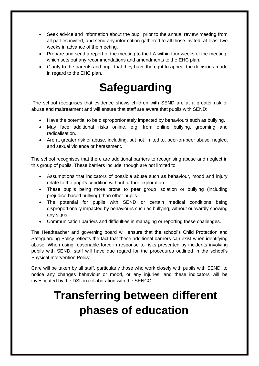- Seek advice and information about the pupil prior to the annual review meeting from all parties invited, and send any information gathered to all those invited, at least two weeks in advance of the meeting.
- Prepare and send a report of the meeting to the LA within four weeks of the meeting, which sets out any recommendations and amendments to the EHC plan.
- Clarify to the parents and pupil that they have the right to appeal the decisions made in regard to the EHC plan.

### **Safeguarding**

<span id="page-18-0"></span>The school recognises that evidence shows children with SEND are at a greater risk of abuse and maltreatment and will ensure that staff are aware that pupils with SEND:

- Have the potential to be disproportionately impacted by behaviours such as bullying.
- May face additional risks online, e.g. from online bullying, grooming and radicalisation.
- Are at greater risk of abuse, including, but not limited to, peer-on-peer abuse, neglect and sexual violence or harassment.

The school recognises that there are additional barriers to recognising abuse and neglect in this group of pupils. These barriers include, though are not limited to,

- Assumptions that indicators of possible abuse such as behaviour, mood and injury relate to the pupil's condition without further exploration.
- These pupils being more prone to peer group isolation or bullying (including prejudice-based bullying) than other pupils.
- The potential for pupils with SEND or certain medical conditions being disproportionally impacted by behaviours such as bullying, without outwardly showing any signs.
- Communication barriers and difficulties in managing or reporting these challenges.

The Headteacher and governing board will ensure that the school's Child Protection and Safeguarding Policy reflects the fact that these additional barriers can exist when identifying abuse. When using reasonable force in response to risks presented by incidents involving pupils with SEND, staff will have due regard for the procedures outlined in the school's Physical Intervention Policy.

<span id="page-18-1"></span>Care will be taken by all staff, particularly those who work closely with pupils with SEND, to notice any changes behaviour or mood, or any injuries, and these indicators will be investigated by the DSL in collaboration with the SENCO.

# **Transferring between different phases of education**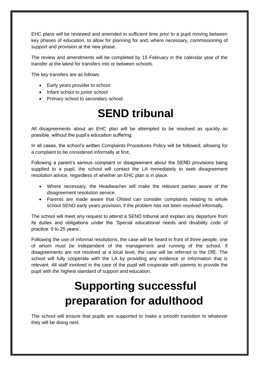EHC plans will be reviewed and amended in sufficient time prior to a pupil moving between key phases of education, to allow for planning for and, where necessary, commissioning of support and provision at the new phase.

The review and amendments will be completed by 15 February in the calendar year of the transfer at the latest for transfers into or between schools.

The key transfers are as follows:

- Early years provider to school
- Infant school to junior school
- <span id="page-19-0"></span>• Primary school to secondary school.

### **SEND tribunal**

All disagreements about an EHC plan will be attempted to be resolved as quickly as possible, without the pupil's education suffering.

In all cases, the school's written Complaints Procedures Policy will be followed, allowing for a complaint to be considered informally at first.

Following a parent's serious complaint or disagreement about the SEND provisions being supplied to a pupil, the school will contact the LA immediately to seek disagreement resolution advice, regardless of whether an EHC plan is in place.

- Where necessary, the Headteacher will make the relevant parties aware of the disagreement resolution service.
- Parents are made aware that Ofsted can consider complaints relating to whole school SEND early years provision, if the problem has not been resolved informally.

The school will meet any request to attend a SEND tribunal and explain any departure from its duties and obligations under the 'Special educational needs and disability code of practice: 0 to 25 years'.

Following the use of informal resolutions, the case will be heard in front of three people, one of whom must be independent of the management and running of the school. If disagreements are not resolved at a local level, the case will be referred to the DfE. The school will fully cooperate with the LA by providing any evidence or information that is relevant. All staff involved in the care of the pupil will cooperate with parents to provide the pupil with the highest standard of support and education.

# **Supporting successful preparation for adulthood**

<span id="page-19-1"></span>The school will ensure that pupils are supported to make a smooth transition to whatever they will be doing next.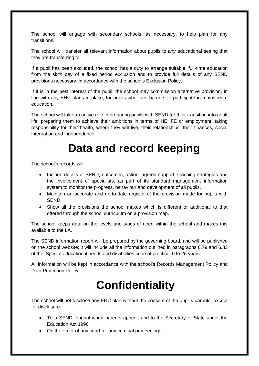The school will engage with secondary schools, as necessary, to help plan for any transitions.

The school will transfer all relevant information about pupils to any educational setting that they are transferring to.

If a pupil has been excluded, the school has a duty to arrange suitable, full-time education from the sixth day of a fixed period exclusion and to provide full details of any SEND provisions necessary, in accordance with the school's Exclusion Policy.

If it is in the best interest of the pupil, the school may commission alternative provision, in line with any EHC plans in place, for pupils who face barriers to participate in mainstream education.

The school will take an active role in preparing pupils with SEND for their transition into adult life, preparing them to achieve their ambitions in terms of HE, FE or employment, taking responsibility for their health, where they will live, their relationships, their finances, social integration and independence.

#### **Data and record keeping**

The school's records will:

- Include details of SEND, outcomes, action, agreed support, teaching strategies and the involvement of specialists, as part of its standard management information system to monitor the progress, behaviour and development of all pupils.
- Maintain an accurate and up-to-date register of the provision made for pupils with SEND.
- Show all the provisions the school makes which is different or additional to that offered through the school curriculum on a provision map.

The school keeps data on the levels and types of need within the school and makes this available to the LA.

The SEND information report will be prepared by the governing board, and will be published on the school website; it will include all the information outlined in paragraphs 6.79 and 6.83 of the 'Special educational needs and disabilities code of practice: 0 to 25 years'.

<span id="page-20-0"></span>All information will be kept in accordance with the school's Records Management Policy and Data Protection Policy.

# **Confidentiality**

The school will not disclose any EHC plan without the consent of the pupil's parents, except for disclosure:

- To a SEND tribunal when parents appeal, and to the Secretary of State under the Education Act 1996.
- On the order of any court for any criminal proceedings.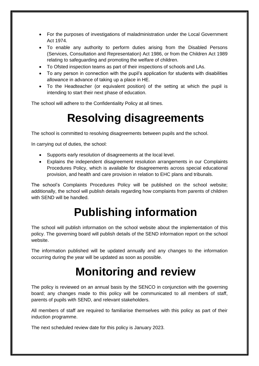- For the purposes of investigations of maladministration under the Local Government Act 1974.
- To enable any authority to perform duties arising from the Disabled Persons (Services, Consultation and Representation) Act 1986, or from the Children Act 1989 relating to safeguarding and promoting the welfare of children.
- To Ofsted inspection teams as part of their inspections of schools and LAs.
- To any person in connection with the pupil's application for students with disabilities allowance in advance of taking up a place in HE.
- To the Headteacher (or equivalent position) of the setting at which the pupil is intending to start their next phase of education.

<span id="page-21-0"></span>The school will adhere to the Confidentiality Policy at all times.

#### **Resolving disagreements**

The school is committed to resolving disagreements between pupils and the school.

In carrying out of duties, the school:

- Supports early resolution of disagreements at the local level.
- Explains the independent disagreement resolution arrangements in our Complaints Procedures Policy, which is available for disagreements across special educational provision, and health and care provision in relation to EHC plans and tribunals.

The school's Complaints Procedures Policy will be published on the school website; additionally, the school will publish details regarding how complaints from parents of children with SEND will be handled.

## **Publishing information**

<span id="page-21-1"></span>The school will publish information on the school website about the implementation of this policy. The governing board will publish details of the SEND information report on the school website.

<span id="page-21-2"></span>The information published will be updated annually and any changes to the information occurring during the year will be updated as soon as possible.

#### **Monitoring and review**

The policy is reviewed on an annual basis by the SENCO in conjunction with the governing board; any changes made to this policy will be communicated to all members of staff, parents of pupils with SEND, and relevant stakeholders.

All members of staff are required to familiarise themselves with this policy as part of their induction programme.

The next scheduled review date for this policy is January 2023.